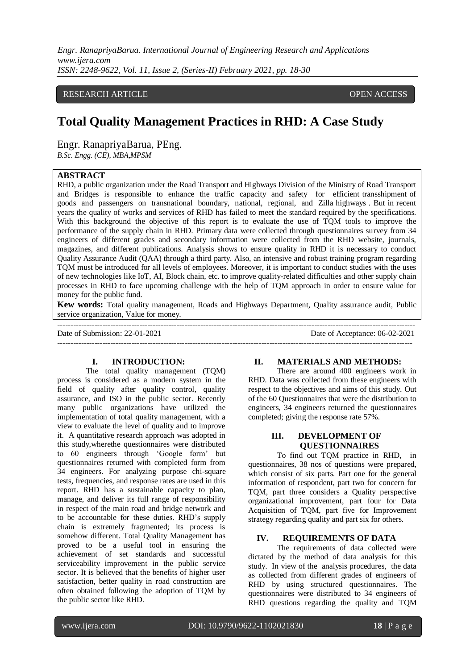*Engr. RanapriyaBarua. International Journal of Engineering Research and Applications www.ijera.com ISSN: 2248-9622, Vol. 11, Issue 2, (Series-II) February 2021, pp. 18-30*

### RESEARCH ARTICLE **CONSERVERS** OPEN ACCESS

# **Total Quality Management Practices in RHD: A Case Study**

Engr. RanapriyaBarua, PEng.

*B.Sc. Engg. (CE), MBA,MPSM*

## **ABSTRACT**

RHD, a public organization under the Road Transport and Highways Division of the Ministry of Road Transport and Bridges is responsible to enhance the traffic capacity and safety for efficient transshipment of goods and passengers on transnational boundary, national, regional, and Zilla highways . But in recent years the quality of works and services of RHD has failed to meet the standard required by the specifications. With this background the objective of this report is to evaluate the use of TQM tools to improve the performance of the supply chain in RHD. Primary data were collected through questionnaires survey from 34 engineers of different grades and secondary information were collected from the RHD website, journals, magazines, and different publications. Analysis shows to ensure quality in RHD it is necessary to conduct Quality Assurance Audit (QAA) through a third party. Also, an intensive and robust training program regarding TQM must be introduced for all levels of employees. Moreover, it is important to conduct studies with the uses of new technologies like IoT, AI, Block chain, etc. to improve quality-related difficulties and other supply chain processes in RHD to face upcoming challenge with the help of TQM approach in order to ensure value for money for the public fund.

**Kew words:** Total quality management, Roads and Highways Department, Quality assurance audit, Public service organization, Value for money.

--------------------------------------------------------------------------------------------------------------------------------------- Date of Submission: 22-01-2021 Date of Acceptance: 06-02-2021 --------------------------------------------------------------------------------------------------------------------------------------

#### **I. INTRODUCTION:**

The total quality management (TQM) process is considered as a modern system in the field of quality after quality control, quality assurance, and ISO in the public sector. Recently many public organizations have utilized the implementation of total quality management, with a view to evaluate the level of quality and to improve it. A quantitative research approach was adopted in this study,wherethe questionnaires were distributed to 60 engineers through 'Google form' but questionnaires returned with completed form from 34 engineers. For analyzing purpose chi-square tests, frequencies, and response rates are used in this report. RHD has a sustainable capacity to plan, manage, and deliver its full range of responsibility in respect of the main road and bridge network and to be accountable for these duties. RHD's supply chain is extremely fragmented; its process is somehow different. Total Quality Management has proved to be a useful tool in ensuring the achievement of set standards and successful serviceability improvement in the public service sector. It is believed that the benefits of higher user satisfaction, better quality in road construction are often obtained following the adoption of TQM by the public sector like RHD.

#### **II. MATERIALS AND METHODS:**

There are around 400 engineers work in RHD. Data was collected from these engineers with respect to the objectives and aims of this study. Out of the 60 Questionnaires that were the distribution to engineers, 34 engineers returned the questionnaires completed; giving the response rate 57%.

### **III. DEVELOPMENT OF QUESTIONNAIRES**

To find out TQM practice in RHD, in questionnaires, 38 nos of questions were prepared, which consist of six parts. Part one for the general information of respondent, part two for concern for TQM, part three considers a Quality perspective organizational improvement, part four for Data Acquisition of TQM, part five for Improvement strategy regarding quality and part six for others.

#### **IV. REQUIREMENTS OF DATA**

The requirements of data collected were dictated by the method of data analysis for this study. In view of the analysis procedures, the data as collected from different grades of engineers of RHD by using structured questionnaires. The questionnaires were distributed to 34 engineers of RHD questions regarding the quality and TQM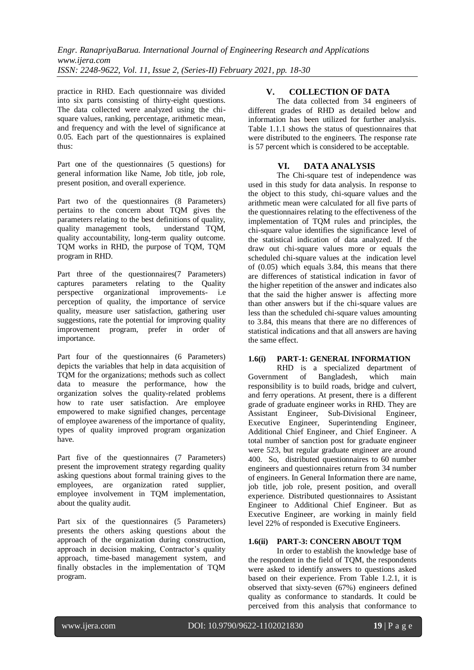practice in RHD. Each questionnaire was divided into six parts consisting of thirty-eight questions. The data collected were analyzed using the chisquare values, ranking, percentage, arithmetic mean, and frequency and with the level of significance at 0.05. Each part of the questionnaires is explained thus:

Part one of the questionnaires (5 questions) for general information like Name, Job title, job role, present position, and overall experience.

Part two of the questionnaires (8 Parameters) pertains to the concern about TQM gives the parameters relating to the best definitions of quality, quality management tools, understand TQM, quality accountability, long-term quality outcome. TQM works in RHD, the purpose of TQM, TQM program in RHD.

Part three of the questionnaires(7 Parameters) captures parameters relating to the Quality perspective organizational improvements- i.e perception of quality, the importance of service quality, measure user satisfaction, gathering user suggestions, rate the potential for improving quality improvement program, prefer in order of importance.

Part four of the questionnaires (6 Parameters) depicts the variables that help in data acquisition of TQM for the organizations; methods such as collect data to measure the performance, how the organization solves the quality-related problems how to rate user satisfaction. Are employee empowered to make signified changes, percentage of employee awareness of the importance of quality, types of quality improved program organization have.

Part five of the questionnaires (7 Parameters) present the improvement strategy regarding quality asking questions about formal training gives to the employees, are organization rated supplier, employee involvement in TQM implementation, about the quality audit.

Part six of the questionnaires (5 Parameters) presents the others asking questions about the approach of the organization during construction, approach in decision making, Contractor's quality approach, time-based management system, and finally obstacles in the implementation of TQM program.

## **V. COLLECTION OF DATA**

The data collected from 34 engineers of different grades of RHD as detailed below and information has been utilized for further analysis. Table 1.1.1 shows the status of questionnaires that were distributed to the engineers. The response rate is 57 percent which is considered to be acceptable.

## **VI. DATA ANALYSIS**

The Chi-square test of independence was used in this study for data analysis. In response to the object to this study, chi-square values and the arithmetic mean were calculated for all five parts of the questionnaires relating to the effectiveness of the implementation of TQM rules and principles, the chi-square value identifies the significance level of the statistical indication of data analyzed. If the draw out chi-square values more or equals the scheduled chi-square values at the indication level of (0.05) which equals 3.84, this means that there are differences of statistical indication in favor of the higher repetition of the answer and indicates also that the said the higher answer is affecting more than other answers but if the chi-square values are less than the scheduled chi-square values amounting to 3.84, this means that there are no differences of statistical indications and that all answers are having the same effect.

#### **1.6(i) PART-1: GENERAL INFORMATION**

RHD is a specialized department of Government of Bangladesh, which main responsibility is to build roads, bridge and culvert, and ferry operations. At present, there is a different grade of graduate engineer works in RHD. They are Assistant Engineer, Sub-Divisional Engineer, Executive Engineer, Superintending Engineer, Additional Chief Engineer, and Chief Engineer. A total number of sanction post for graduate engineer were 523, but regular graduate engineer are around 400. So, distributed questionnaires to 60 number engineers and questionnaires return from 34 number of engineers. In General Information there are name, job title, job role, present position, and overall experience. Distributed questionnaires to Assistant Engineer to Additional Chief Engineer. But as Executive Engineer, are working in mainly field level 22% of responded is Executive Engineers.

#### **1.6(ii) PART-3: CONCERN ABOUT TQM**

In order to establish the knowledge base of the respondent in the field of TQM, the respondents were asked to identify answers to questions asked based on their experience. From Table 1.2.1, it is observed that sixty-seven (67%) engineers defined quality as conformance to standards. It could be perceived from this analysis that conformance to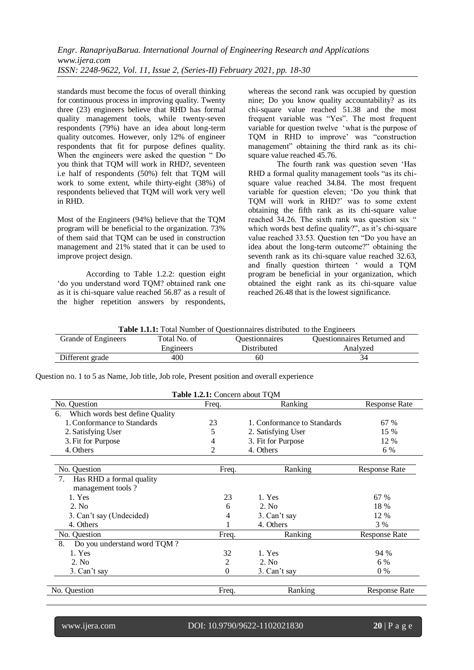*Engr. RanapriyaBarua. International Journal of Engineering Research and Applications www.ijera.com ISSN: 2248-9622, Vol. 11, Issue 2, (Series-II) February 2021, pp. 18-30*

standards must become the focus of overall thinking for continuous process in improving quality. Twenty three (23) engineers believe that RHD has formal quality management tools, while twenty-seven respondents (79%) have an idea about long-term quality outcomes. However, only 12% of engineer respondents that fit for purpose defines quality. When the engineers were asked the question " Do you think that TQM will work in RHD?, seventeen i.e half of respondents (50%) felt that TQM will work to some extent, while thirty-eight (38%) of respondents believed that TQM will work very well in RHD.

Most of the Engineers (94%) believe that the TQM program will be beneficial to the organization. 73% of them said that TQM can be used in construction management and 21% stated that it can be used to improve project design.

According to Table 1.2.2: question eight 'do you understand word TQM? obtained rank one as it is chi-square value reached 56.87 as a result of the higher repetition answers by respondents, whereas the second rank was occupied by question nine; Do you know quality accountability? as its chi-square value reached 51.38 and the most frequent variable was "Yes". The most frequent variable for question twelve 'what is the purpose of TQM in RHD to improve' was "construction management" obtaining the third rank as its chisquare value reached 45.76.

The fourth rank was question seven 'Has RHD a formal quality management tools "as its chisquare value reached 34.84. The most frequent variable for question eleven; 'Do you think that TQM will work in RHD?' was to some extent obtaining the fifth rank as its chi-square value reached 34.26. The sixth rank was question six " which words best define quality?", as it's chi-square value reached 33.53. Question ten "Do you have an idea about the long-term outcome?" obtaining the seventh rank as its chi-square value reached 32.63, and finally question thirteen ' would a TQM program be beneficial in your organization, which obtained the eight rank as its chi-square value reached 26.48 that is the lowest significance.

**Table 1.1.1:** Total Number of Questionnaires distributed to the Engineers

| Grande of Engineers | Total No. of | <i><u><b>Ouestionnaires</b></u></i> | <b>Ouestionnaires Returned and</b> |
|---------------------|--------------|-------------------------------------|------------------------------------|
|                     | Engineers    | Distributed                         | Analyzed                           |
| Different grade     | 400          | 60                                  |                                    |

Question no. 1 to 5 as Name, Job title, Job role, Present position and overall experience

| Table 1.2.1: Concern about TQM        |          |                             |                      |  |  |  |
|---------------------------------------|----------|-----------------------------|----------------------|--|--|--|
| No. Question                          | Freq.    | Ranking                     | <b>Response Rate</b> |  |  |  |
| Which words best define Quality<br>6. |          |                             |                      |  |  |  |
| 1. Conformance to Standards           | 23       | 1. Conformance to Standards | 67 %                 |  |  |  |
| 2. Satisfying User                    | 5        | 2. Satisfying User          | 15 %                 |  |  |  |
| 3. Fit for Purpose                    | 4        | 3. Fit for Purpose          | 12 %                 |  |  |  |
| 4. Others                             | 2        | 4. Others                   | 6 %                  |  |  |  |
| No. Question                          | Freq.    | Ranking                     | <b>Response Rate</b> |  |  |  |
| Has RHD a formal quality<br>7.        |          |                             |                      |  |  |  |
| management tools?                     |          |                             |                      |  |  |  |
| 1. Yes                                | 23       | 1. Yes                      | 67 %                 |  |  |  |
| 2. No.                                | 6        | 2. No                       | 18 %                 |  |  |  |
| 3. Can't say (Undecided)              | 4        | 3. Can't say                | 12 %                 |  |  |  |
| 4. Others                             |          | 4. Others                   | 3 %                  |  |  |  |
| No. Question                          | Freq.    | Ranking                     | <b>Response Rate</b> |  |  |  |
| 8.<br>Do you understand word TQM?     |          |                             |                      |  |  |  |
| 1. Yes                                | 32       | 1. Yes                      | 94 %                 |  |  |  |
| 2. No.                                | 2        | 2. No.                      | 6 %                  |  |  |  |
| 3. Can't say                          | $\Omega$ | 3. Can't say                | $0\%$                |  |  |  |
| No. Question                          | Freq.    | Ranking                     | <b>Response Rate</b> |  |  |  |

www.ijera.com DOI: 10.9790/9622-1102021830 **20** | P a g e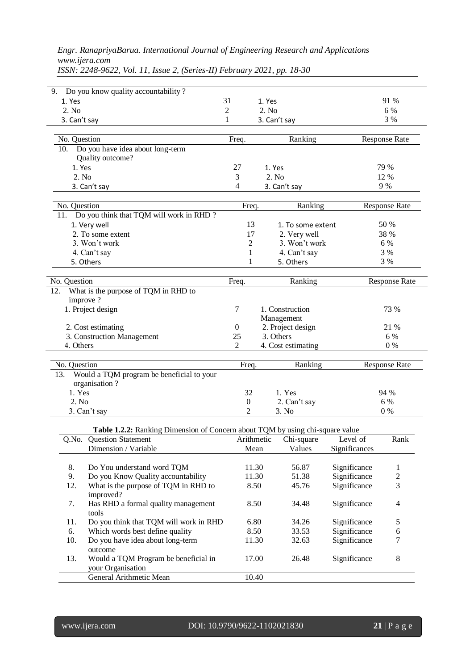|                      |  |  | Engr. RanapriyaBarua. International Journal of Engineering Research and Applications |
|----------------------|--|--|--------------------------------------------------------------------------------------|
| www.yera.com         |  |  |                                                                                      |
| -------------------- |  |  |                                                                                      |

| 9.           | Do you know quality accountability?                                           |                        |                                |               |                      |
|--------------|-------------------------------------------------------------------------------|------------------------|--------------------------------|---------------|----------------------|
| 1. Yes       |                                                                               | 31                     | 1. Yes                         |               | 91 %                 |
| 2. No        |                                                                               | $\overline{2}$         | 2. No                          |               | 6 %                  |
| 3. Can't say |                                                                               | 1                      | 3. Can't say                   |               | 3 %                  |
|              |                                                                               |                        |                                |               |                      |
| No. Question |                                                                               | Freq.                  | Ranking                        |               | <b>Response Rate</b> |
|              | 10. Do you have idea about long-term                                          |                        |                                |               |                      |
|              | Quality outcome?                                                              |                        |                                |               |                      |
| 1. Yes       |                                                                               | 27                     | 1. Yes                         |               | 79 %                 |
| 2. No        |                                                                               | 3                      | 2. No                          |               | 12 %                 |
|              | 3. Can't say                                                                  | 4                      | 3. Can't say                   |               | 9 %                  |
|              |                                                                               |                        |                                |               |                      |
| No. Question |                                                                               | Freq.                  | Ranking                        |               | Response Rate        |
| 11.          | Do you think that TQM will work in RHD?                                       |                        |                                |               |                      |
|              | 1. Very well                                                                  | 13                     | 1. To some extent              |               | 50 %                 |
|              | 2. To some extent                                                             | 17                     | 2. Very well                   |               | 38 %                 |
|              | 3. Won't work                                                                 | 2                      | 3. Won't work                  |               | 6 %                  |
|              | 4. Can't say                                                                  | 1                      | 4. Can't say                   |               | 3 %                  |
|              | 5. Others                                                                     | 1                      | 5. Others                      |               | 3 %                  |
|              |                                                                               |                        |                                |               |                      |
| No. Question |                                                                               | Freq.                  | Ranking                        |               | <b>Response Rate</b> |
| 12.          | What is the purpose of TQM in RHD to<br>improve?                              |                        |                                |               |                      |
|              |                                                                               |                        |                                |               |                      |
|              | 1. Project design                                                             | 7                      | 1. Construction                |               | 73 %                 |
|              |                                                                               |                        | Management                     |               | 21 %                 |
|              | 2. Cost estimating                                                            | $\boldsymbol{0}$<br>25 | 2. Project design<br>3. Others |               | 6 %                  |
| 4. Others    | 3. Construction Management                                                    | $\overline{2}$         | 4. Cost estimating             |               | $0\%$                |
|              |                                                                               |                        |                                |               |                      |
| No. Question |                                                                               | Freq.                  | Ranking                        |               | <b>Response Rate</b> |
| 13.          | Would a TQM program be beneficial to your                                     |                        |                                |               |                      |
|              | organisation?                                                                 |                        |                                |               |                      |
| 1. Yes       |                                                                               | 32                     | 1. Yes                         |               | 94 %                 |
| 2. No        |                                                                               | $\boldsymbol{0}$       | 2. Can't say                   |               | 6 %                  |
|              | 3. Can't say                                                                  | 2                      | 3. No.                         |               | $0\%$                |
|              |                                                                               |                        |                                |               |                      |
|              | Table 1.2.2: Ranking Dimension of Concern about TQM by using chi-square value |                        |                                |               |                      |
| Q.No.        | <b>Question Statement</b>                                                     | Arithmetic             | Chi-square                     | Level of      | Rank                 |
|              | Dimension / Variable                                                          | Mean                   | Values                         | Significances |                      |
|              |                                                                               |                        |                                |               |                      |
| 8.           | Do You understand word TQM                                                    | 11.30                  | 56.87                          | Significance  | 1                    |
| 9.           | Do you Know Quality accountability                                            | 11.30                  | 51.38                          | Significance  | $\mathbf{2}$         |
| 12.          | What is the purpose of TQM in RHD to                                          | 8.50                   | 45.76                          | Significance  | 3                    |
|              | improved?                                                                     |                        |                                |               |                      |
| 7.           | Has RHD a formal quality management                                           | 8.50                   | 34.48                          | Significance  | 4                    |
|              | tools                                                                         |                        |                                |               |                      |
| 11.          | Do you think that TQM will work in RHD                                        | 6.80                   | 34.26                          | Significance  | 5                    |

*ISSN: 2248-9622, Vol. 11, Issue 2, (Series-II) February 2021, pp. 18-30*

| 7.  | Has RHD a formal quality management    | 8.50  | 34.48 | Significance | 4 |
|-----|----------------------------------------|-------|-------|--------------|---|
|     | tools                                  |       |       |              |   |
| 11. | Do you think that TQM will work in RHD | 6.80  | 34.26 | Significance | 5 |
| 6.  | Which words best define quality        | 8.50  | 33.53 | Significance | 6 |
| 10. | Do you have idea about long-term       | 11.30 | 32.63 | Significance |   |
|     | outcome                                |       |       |              |   |
| 13. | Would a TQM Program be beneficial in   | 17.00 | 26.48 | Significance | 8 |
|     | your Organisation                      |       |       |              |   |
|     | General Arithmetic Mean                | 10.40 |       |              |   |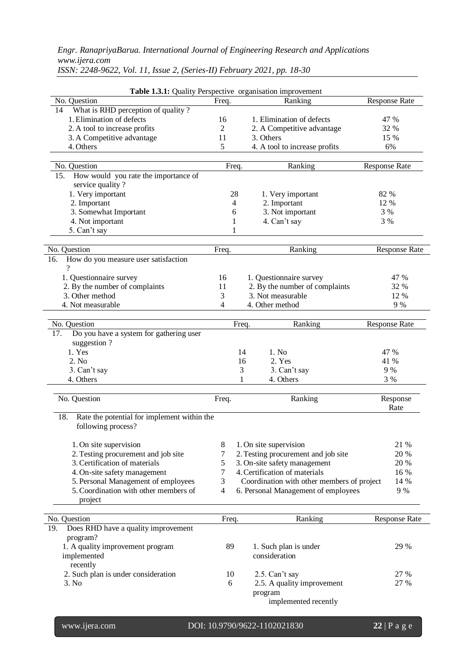| Table 1.3.1: Quality Perspective organisation improvement<br>No. Question | Freq.          |       | Ranking                                    | <b>Response Rate</b> |
|---------------------------------------------------------------------------|----------------|-------|--------------------------------------------|----------------------|
| What is RHD perception of quality?<br>14                                  |                |       |                                            |                      |
| 1. Elimination of defects                                                 | 16             |       | 1. Elimination of defects                  | 47 %                 |
| 2. A tool to increase profits                                             | $\overline{2}$ |       | 2. A Competitive advantage                 | 32 %                 |
| 3. A Competitive advantage                                                | 11             |       | 3. Others                                  | 15 %                 |
| 4. Others                                                                 | 5              |       | 4. A tool to increase profits              | 6%                   |
|                                                                           |                |       |                                            |                      |
| No. Question                                                              | Freq.          |       | Ranking                                    | <b>Response Rate</b> |
| How would you rate the importance of<br>15.                               |                |       |                                            |                      |
| service quality?                                                          |                |       |                                            |                      |
| 1. Very important                                                         | 28             |       | 1. Very important                          | 82 %                 |
| 2. Important                                                              | 4              |       | 2. Important                               | 12 %                 |
| 3. Somewhat Important                                                     | 6              |       | 3. Not important                           | 3 %                  |
| 4. Not important                                                          | 1              |       | 4. Can't say                               | 3 %                  |
| 5. Can't say                                                              | 1              |       |                                            |                      |
|                                                                           |                |       |                                            |                      |
| No. Question<br>How do you measure user satisfaction                      | Freq.          |       | Ranking                                    | <b>Response Rate</b> |
| 16.<br>$\gamma$                                                           |                |       |                                            |                      |
| 1. Questionnaire survey                                                   | 16             |       | 1. Questionnaire survey                    | 47 %                 |
| 2. By the number of complaints                                            | 11             |       | 2. By the number of complaints             | 32 %                 |
| 3. Other method                                                           | 3              |       | 3. Not measurable                          | 12 %                 |
| 4. Not measurable                                                         | 4              |       | 4. Other method                            | 9 %                  |
|                                                                           |                |       |                                            |                      |
| No. Question                                                              |                | Freq. | Ranking                                    | <b>Response Rate</b> |
| Do you have a system for gathering user<br>17.                            |                |       |                                            |                      |
| suggestion?                                                               |                |       |                                            |                      |
| 1. Yes                                                                    |                | 14    | 1. No                                      | 47 %                 |
| 2. No                                                                     |                | 16    | 2. Yes                                     | 41 %                 |
| 3. Can't say                                                              |                | 3     | 3. Can't say                               | 9 %                  |
| 4. Others                                                                 |                | 1     | 4. Others                                  | 3 %                  |
| No. Question                                                              | Freq.          |       | Ranking                                    | Response             |
|                                                                           |                |       |                                            | Rate                 |
| Rate the potential for implement within the<br>18.                        |                |       |                                            |                      |
| following process?                                                        |                |       |                                            |                      |
| 1. On site supervision                                                    | 8              |       | 1. On site supervision                     | 21 %                 |
| 2. Testing procurement and job site                                       | 7              |       | 2. Testing procurement and job site        | 20 %                 |
| 3. Certification of materials                                             | 5              |       | 3. On-site safety management               | 20 %                 |
| 4. On-site safety management                                              | 7              |       | 4. Certification of materials              | 16 %                 |
| 5. Personal Management of employees                                       | 3              |       | Coordination with other members of project | 14 %                 |
| 5. Coordination with other members of<br>project                          | $\overline{4}$ |       | 6. Personal Management of employees        | 9 %                  |
|                                                                           |                |       |                                            |                      |
|                                                                           |                |       |                                            |                      |

*ISSN: 2248-9622, Vol. 11, Issue 2, (Series-II) February 2021, pp. 18-30*

No. Question **Freq.** Ranking Response Rate 19. Does RHD have a quality improvement program? 1. A quality improvement program implemented recently 89 1. Such plan is under consideration 29 % 2. Such plan is under consideration 10 2.5. Can't say 27 %  $2.5. A quality improvement$ program implemented recently 27 %

www.ijera.com DOI: 10.9790/9622-1102021830 **22** | P a g e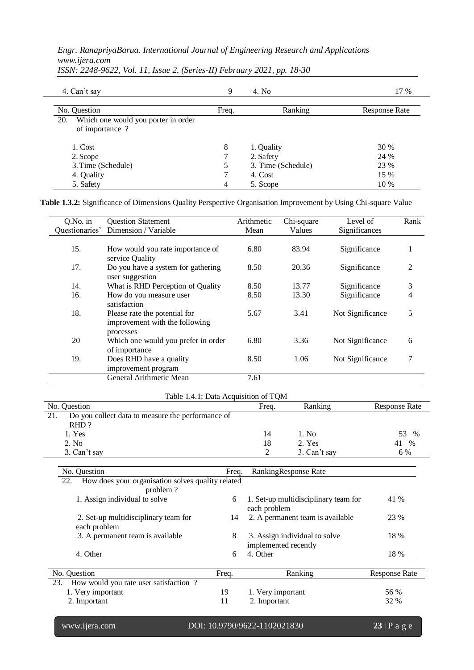| 4. Can't say                                                 | 9     | 4. No              | 17 %                 |
|--------------------------------------------------------------|-------|--------------------|----------------------|
| No. Question                                                 | Freq. | Ranking            | <b>Response Rate</b> |
| 20.<br>Which one would you porter in order<br>of importance? |       |                    |                      |
| 1. Cost                                                      | 8     | 1. Quality         | 30 %                 |
| 2. Scope                                                     |       | 2. Safety          | 24 %                 |
| 3. Time (Schedule)                                           |       | 3. Time (Schedule) | 23 %                 |
| 4. Quality                                                   |       | 4. Cost            | 15 %                 |
| 5. Safety                                                    | 4     | 5. Scope           | 10 %                 |

*ISSN: 2248-9622, Vol. 11, Issue 2, (Series-II) February 2021, pp. 18-30*

**Table 1.3.2:** Significance of Dimensions Quality Perspective Organisation Improvement by Using Chi-square Value

| $Q$ . No. in   | <b>Question Statement</b>                                                    | Arithmetic | Chi-square | Level of         | Rank |
|----------------|------------------------------------------------------------------------------|------------|------------|------------------|------|
| Questionaries' | Dimension / Variable                                                         | Mean       | Values     | Significances    |      |
|                |                                                                              |            |            |                  |      |
| 15.            | How would you rate importance of<br>service Quality                          | 6.80       | 83.94      | Significance     | 1    |
| 17.            | Do you have a system for gathering<br>user suggestion                        | 8.50       | 20.36      | Significance     | 2    |
| 14.            | What is RHD Perception of Quality                                            | 8.50       | 13.77      | Significance     | 3    |
| 16.            | How do you measure user<br>satisfaction                                      | 8.50       | 13.30      | Significance     | 4    |
| 18.            | Please rate the potential for<br>improvement with the following<br>processes | 5.67       | 3.41       | Not Significance | 5    |
| 20             | Which one would you prefer in order<br>of importance                         | 6.80       | 3.36       | Not Significance | 6    |
| 19.            | Does RHD have a quality<br>improvement program                               | 8.50       | 1.06       | Not Significance | 7    |
|                | General Arithmetic Mean                                                      | 7.61       |            |                  |      |

| Table 1.4.1: Data Acquisition of TQM                     |       |              |               |  |  |  |
|----------------------------------------------------------|-------|--------------|---------------|--|--|--|
| No. Question                                             | Freq. | Ranking      | Response Rate |  |  |  |
| 21.<br>Do you collect data to measure the performance of |       |              |               |  |  |  |
| RHD?                                                     |       |              |               |  |  |  |
| 1. Yes                                                   | 14    | 1. No        | 53<br>$\%$    |  |  |  |
| 2. No.                                                   | 18    | 2. Yes       | $\%$<br>41    |  |  |  |
| 3. Can't say                                             |       | 3. Can't say | 6 %           |  |  |  |
|                                                          |       |              |               |  |  |  |

| No. Question                                             | Freq. | RankingResponse Rate                                  |                      |
|----------------------------------------------------------|-------|-------------------------------------------------------|----------------------|
| How does your organisation solves quality related<br>22. |       |                                                       |                      |
| problem?                                                 |       |                                                       |                      |
| 1. Assign individual to solve                            | 6     | 1. Set-up multidisciplinary team for<br>each problem  | 41 %                 |
| 2. Set-up multidisciplinary team for<br>each problem     | 14    | 2. A permanent team is available                      | 23 %                 |
| 3. A permanent team is available                         | 8     | 3. Assign individual to solve<br>implemented recently | 18 %                 |
| 4. Other                                                 | 6     | 4. Other                                              | 18 %                 |
|                                                          |       |                                                       |                      |
| No. Question                                             | Freq. | Ranking                                               | <b>Response Rate</b> |
| 23. How would you rate user satisfaction?                |       |                                                       |                      |
| 1. Very important                                        | 19    | 1. Very important                                     | 56 %                 |
| 2. Important                                             | 11    | 2. Important                                          | 32 %                 |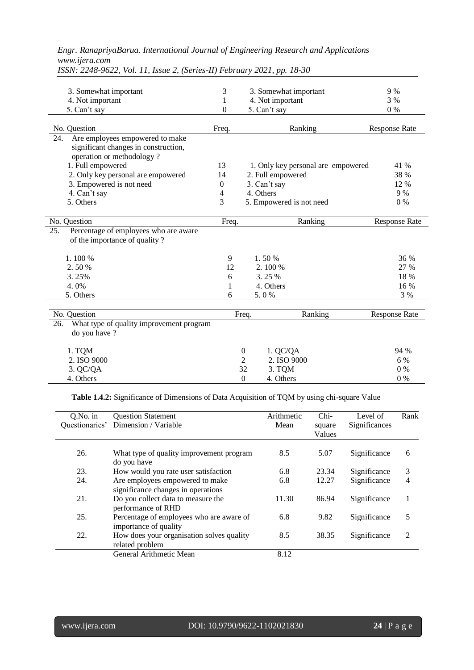| 3. Somewhat important                                                                                       | 3                | 3. Somewhat important              | 9 %                  |
|-------------------------------------------------------------------------------------------------------------|------------------|------------------------------------|----------------------|
| 4. Not important                                                                                            | 1                | 4. Not important                   | 3%                   |
| 5. Can't say                                                                                                | $\boldsymbol{0}$ | 5. Can't say                       | $0\%$                |
| No. Question                                                                                                | Freq.            | Ranking                            | <b>Response Rate</b> |
| Are employees empowered to make<br>24.<br>significant changes in construction,<br>operation or methodology? |                  |                                    |                      |
| 1. Full empowered                                                                                           | 13               | 1. Only key personal are empowered | 41 %                 |
| 2. Only key personal are empowered                                                                          | 14               | 2. Full empowered                  | 38 %                 |
| 3. Empowered is not need                                                                                    | $\theta$         | 3. Can't say                       | 12 %                 |
| 4. Can't say                                                                                                | 4                | 4. Others                          | 9 %                  |
| 5. Others                                                                                                   | 3                | 5. Empowered is not need           | 0%                   |
| No. Question                                                                                                | Freq.            | Ranking                            | <b>Response Rate</b> |
| 25.<br>Percentage of employees who are aware<br>of the importance of quality?                               |                  |                                    |                      |
| 1.100 %                                                                                                     | 9                | 1.50%                              | 36 %                 |
| 2.50%                                                                                                       | 12               | 2.100 %                            | 27 %                 |
| 3.25%                                                                                                       | 6                | 3.25 %                             | 18 %                 |
| 4.0%                                                                                                        | 1                | 4. Others                          | 16 %                 |
| 5. Others                                                                                                   | 6                | 5.0%                               | 3 %                  |
| No. Question                                                                                                |                  | Ranking<br>Freq.                   | <b>Response Rate</b> |
| What type of quality improvement program<br>26.<br>do you have ?                                            |                  |                                    |                      |
| 1. TQM                                                                                                      |                  | 1. QC/QA<br>$\theta$               | 94 %                 |
| 2. ISO 9000                                                                                                 |                  | 2. ISO 9000<br>2                   | 6 %                  |
| 3. QC/QA                                                                                                    |                  | 32<br>3. TQM                       | $0\%$                |
| 4. Others                                                                                                   |                  | $\Omega$<br>4. Others              | 0%                   |

*ISSN: 2248-9622, Vol. 11, Issue 2, (Series-II) February 2021, pp. 18-30*

**Table 1.4.2:** Significance of Dimensions of Data Acquisition of TQM by using chi-square Value

 $\frac{3}{8}$ . Others 0 %

| $Q.No.$ in | <b>Question Statement</b>                                             | Arithmetic | Chi-             | Level of      | Rank           |
|------------|-----------------------------------------------------------------------|------------|------------------|---------------|----------------|
|            | Questionaries' Dimension / Variable                                   | Mean       | square<br>Values | Significances |                |
| 26.        | What type of quality improvement program<br>do you have               | 8.5        | 5.07             | Significance  | 6              |
| 23.        | How would you rate user satisfaction                                  | 6.8        | 23.34            | Significance  | 3              |
| 24.        | Are employees empowered to make<br>significance changes in operations | 6.8        | 12.27            | Significance  | 4              |
| 21.        | Do you collect data to measure the<br>performance of RHD              | 11.30      | 86.94            | Significance  |                |
| 25.        | Percentage of employees who are aware of<br>importance of quality     | 6.8        | 9.82             | Significance  | 5              |
| 22.        | How does your organisation solves quality<br>related problem          | 8.5        | 38.35            | Significance  | $\mathfrak{D}$ |
|            | General Arithmetic Mean                                               | 8.12       |                  |               |                |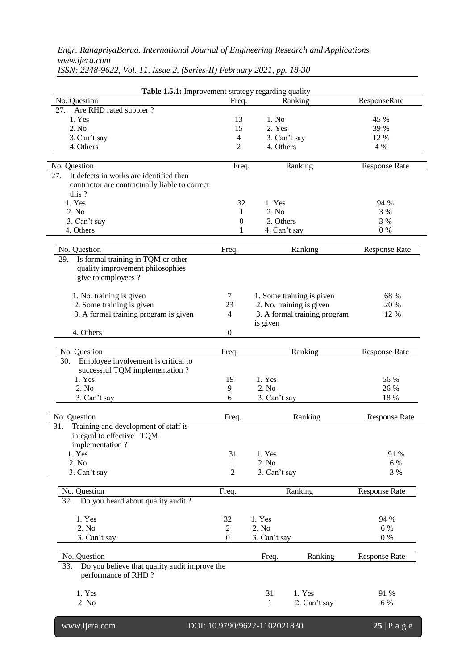| Table 1.5.1: Improvement strategy regarding quality                         |                |                              |                      |  |  |  |  |  |
|-----------------------------------------------------------------------------|----------------|------------------------------|----------------------|--|--|--|--|--|
| No. Question                                                                | Freq.          | Ranking                      | ResponseRate         |  |  |  |  |  |
| Are RHD rated suppler ?<br>27.                                              |                |                              |                      |  |  |  |  |  |
| 1. Yes                                                                      | 13             | 1. No                        | 45 %                 |  |  |  |  |  |
| 2. No                                                                       | 15             | 2. Yes                       | 39 %                 |  |  |  |  |  |
| 3. Can't say                                                                | $\overline{4}$ | 3. Can't say                 | 12 %                 |  |  |  |  |  |
| 4. Others                                                                   | 2              | 4. Others                    | 4 %                  |  |  |  |  |  |
| No. Question                                                                | Freq.          | Ranking                      | <b>Response Rate</b> |  |  |  |  |  |
| It defects in works are identified then<br>27.                              |                |                              |                      |  |  |  |  |  |
| contractor are contractually liable to correct                              |                |                              |                      |  |  |  |  |  |
| this?                                                                       |                |                              |                      |  |  |  |  |  |
| 1. Yes                                                                      | 32             | 1. Yes                       | 94 %                 |  |  |  |  |  |
| 2. No                                                                       | 1              | 2. No                        | 3 %                  |  |  |  |  |  |
| 3. Can't say                                                                | 0              | 3. Others                    | 3 %                  |  |  |  |  |  |
| 4. Others                                                                   | 1              | 4. Can't say                 | $0\%$                |  |  |  |  |  |
|                                                                             |                |                              |                      |  |  |  |  |  |
| No. Question<br>Is formal training in TQM or other                          | Freq.          | Ranking                      | <b>Response Rate</b> |  |  |  |  |  |
| 29.<br>quality improvement philosophies                                     |                |                              |                      |  |  |  |  |  |
| give to employees?                                                          |                |                              |                      |  |  |  |  |  |
|                                                                             |                |                              |                      |  |  |  |  |  |
| 1. No. training is given                                                    | 7              | 1. Some training is given    | 68 %                 |  |  |  |  |  |
| 2. Some training is given                                                   | 23             | 2. No. training is given     | 20 %                 |  |  |  |  |  |
| 3. A formal training program is given                                       | $\overline{4}$ | 3. A formal training program | 12 %                 |  |  |  |  |  |
|                                                                             |                | is given                     |                      |  |  |  |  |  |
| 4. Others                                                                   | $\mathbf{0}$   |                              |                      |  |  |  |  |  |
|                                                                             |                |                              |                      |  |  |  |  |  |
| No. Question                                                                | Freq.          | Ranking                      | <b>Response Rate</b> |  |  |  |  |  |
| 30. Employee involvement is critical to<br>successful TQM implementation ?  |                |                              |                      |  |  |  |  |  |
| 1. Yes                                                                      | 19             | 1. Yes                       | 56 %                 |  |  |  |  |  |
| 2. No                                                                       | 9              | 2. No                        | 26 %                 |  |  |  |  |  |
| 3. Can't say                                                                | 6              | 3. Can't say                 | 18 %                 |  |  |  |  |  |
| No. Question                                                                | Freq.          | Ranking                      | <b>Response Rate</b> |  |  |  |  |  |
| Training and development of staff is<br>31.                                 |                |                              |                      |  |  |  |  |  |
| integral to effective TQM<br>implementation?                                |                |                              |                      |  |  |  |  |  |
| 1. Yes                                                                      | 31             | 1. Yes                       | 91 %                 |  |  |  |  |  |
| 2. No                                                                       | 1              | 2. No                        | 6 %                  |  |  |  |  |  |
| 3. Can't say                                                                | $\overline{c}$ | 3. Can't say                 | 3 %                  |  |  |  |  |  |
|                                                                             |                |                              |                      |  |  |  |  |  |
| No. Question                                                                | Freq.          | Ranking                      | <b>Response Rate</b> |  |  |  |  |  |
| Do you heard about quality audit?<br>32.                                    |                |                              |                      |  |  |  |  |  |
| 1. Yes                                                                      | 32             | 1. Yes                       | 94 %                 |  |  |  |  |  |
| 2. No                                                                       | $\overline{2}$ | 2. No                        | 6 %                  |  |  |  |  |  |
| 3. Can't say                                                                | $\mathbf{0}$   | 3. Can't say                 | $0\%$                |  |  |  |  |  |
|                                                                             |                |                              |                      |  |  |  |  |  |
| No. Question                                                                |                | Ranking<br>Freq.             | <b>Response Rate</b> |  |  |  |  |  |
| Do you believe that quality audit improve the<br>33.<br>performance of RHD? |                |                              |                      |  |  |  |  |  |
| 1. Yes                                                                      |                | 1. Yes<br>31                 | 91 %                 |  |  |  |  |  |
| 2. No                                                                       |                | 2. Can't say<br>1            | 6 %                  |  |  |  |  |  |
|                                                                             |                |                              |                      |  |  |  |  |  |
|                                                                             |                |                              |                      |  |  |  |  |  |

*ISSN: 2248-9622, Vol. 11, Issue 2, (Series-II) February 2021, pp. 18-30*

www.ijera.com DOI: 10.9790/9622-1102021830 **25** | P a g e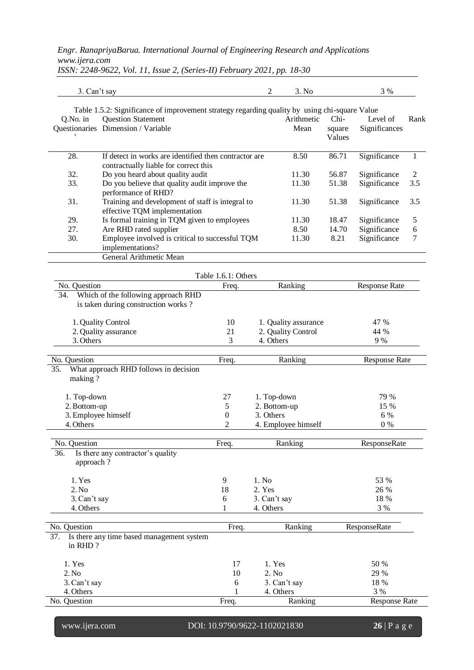3. Can't say 3 % 3. No 3 % Table 1.5.2: Significance of improvement strategy regarding quality by using chi-square Value Q.No. in Questionaries Dimension / Variable ' Question Statement Arithmetic Mean Chisquare Values Level of Significances Rank 28. If detect in works are identified then contractor are contractually liable for correct this 8.50 86.71 Significance 1 32. Do you heard about quality audit 11.30 56.87 Significance 2 33. Do you believe that quality audit improve the performance of RHD? 11.30 51.38 Significance 3.5 31. Training and development of staff is integral to effective TQM implementation 11.30 51.38 Significance 3.5 29. Is formal training in TQM given to employees 11.30 18.47 Significance 5 27. Are RHD rated supplier 8.50 14.70 Significance 6 30. Employee involved is critical to successful TQM implementations? 11.30 8.21 Significance 7 General Arithmetic Mean Table 1.6.1: Others No. Question **Freq.** Ranking Response Rate 34. Which of the following approach RHD is taken during construction works ? 1. Quality Control 10 1. Quality assurance 47 % 2. Quality assurance 21 2. Quality Control 44 %<br>3. Others 3 4. Others 9 % 3. Others 9 % No. Question **Freq.** Ranking Response Rate 35. What approach RHD follows in decision making ? 1. Top-down 79 % 2. Bottom-up 27 2. Bottom-up 2. Bottom-up 2. Bottom-up 2. Bottom-up 2. Bottom-up 2. Bottom-up 2. Bottom-up 15 % 2. Bottom-up 15 % 15 % 3. Employee himself 6 % 4. Others 0 % No. Question **Freq.** Ranking ResponseRate ResponseRate 36. Is there any contractor's quality approach ? 1. Yes 6. 1. 1.  $\sqrt{9}$  1. No 53 % 2. No 2.  $\frac{18}{26}$  2. Yes 26 % 3.Can't say 6 3. Can't say 18 % 4. Others 3 % No. Question Freq. Ranking ResponseRate 37. Is there any time based management system in RHD ? 1. Yes 50 % 2. No 29 % 3.Can't say 6 3. Can't say 18 % 4. Others 3 % No. Question **Freq.** Ranking Response Rate

*ISSN: 2248-9622, Vol. 11, Issue 2, (Series-II) February 2021, pp. 18-30*

www.ijera.com DOI: 10.9790/9622-1102021830 **26** | P a g e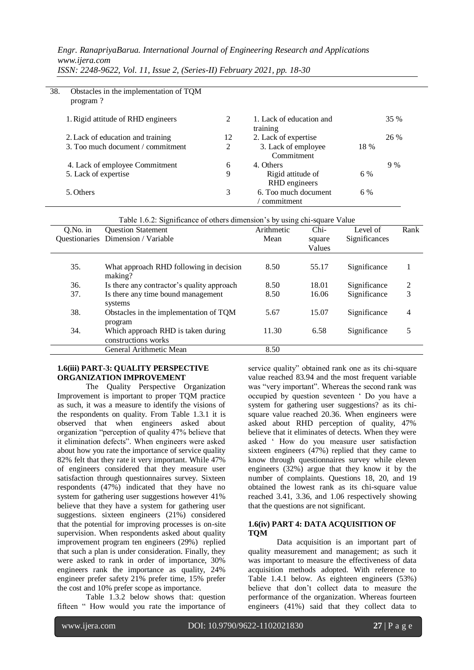| 38. | Obstacles in the implementation of TQM<br>program? |    |                                      |      |      |
|-----|----------------------------------------------------|----|--------------------------------------|------|------|
|     | 1. Rigid attitude of RHD engineers                 | 2  | 1. Lack of education and<br>training |      | 35 % |
|     | 2. Lack of education and training                  | 12 | 2. Lack of expertise                 |      | 26 % |
|     | 3. Too much document / commitment                  | 2  | 3. Lack of employee<br>Commitment    | 18 % |      |
|     | 4. Lack of employee Commitment                     | 6  | 4. Others                            |      | 9%   |
|     | 5. Lack of expertise                               | 9  | Rigid attitude of<br>RHD engineers   | 6 %  |      |
|     | 5. Others                                          | 3  | 6. Too much document<br>commitment   | 6 %  |      |

*ISSN: 2248-9622, Vol. 11, Issue 2, (Series-II) February 2021, pp. 18-30*

Table 1.6.2: Significance of others dimension's by using chi-square Value

| $Q$ . No. in | <b>Question Statement</b>                                 | Arithmetic | Chi-   | Level of      | Rank |
|--------------|-----------------------------------------------------------|------------|--------|---------------|------|
|              | Questionaries Dimension / Variable                        | Mean       | square | Significances |      |
|              |                                                           |            | Values |               |      |
| 35.          | What approach RHD following in decision<br>making?        | 8.50       | 55.17  | Significance  |      |
| 36.          | Is there any contractor's quality approach                | 8.50       | 18.01  | Significance  | 2    |
| 37.          | Is there any time bound management<br>systems             | 8.50       | 16.06  | Significance  | 3    |
| 38.          | Obstacles in the implementation of TOM<br>program         | 5.67       | 15.07  | Significance  | 4    |
| 34.          | Which approach RHD is taken during<br>constructions works | 11.30      | 6.58   | Significance  | 5    |
|              | General Arithmetic Mean                                   | 8.50       |        |               |      |

#### **1.6(iii) PART-3: QUALITY PERSPECTIVE ORGANIZATION IMPROVEMENT**

The Quality Perspective Organization Improvement is important to proper TQM practice as such, it was a measure to identify the visions of the respondents on quality. From Table 1.3.1 it is observed that when engineers asked about organization "perception of quality 47% believe that it elimination defects". When engineers were asked about how you rate the importance of service quality 82% felt that they rate it very important. While 47% of engineers considered that they measure user satisfaction through questionnaires survey. Sixteen respondents (47%) indicated that they have no system for gathering user suggestions however 41% believe that they have a system for gathering user suggestions. sixteen engineers (21%) considered that the potential for improving processes is on-site supervision. When respondents asked about quality improvement program ten engineers (29%) replied that such a plan is under consideration. Finally, they were asked to rank in order of importance, 30% engineers rank the importance as quality, 24% engineer prefer safety 21% prefer time, 15% prefer the cost and 10% prefer scope as importance.

Table 1.3.2 below shows that: question fifteen " How would you rate the importance of service quality" obtained rank one as its chi-square value reached 83.94 and the most frequent variable was "very important". Whereas the second rank was occupied by question seventeen ' Do you have a system for gathering user suggestions? as its chisquare value reached 20.36. When engineers were asked about RHD perception of quality, 47% believe that it eliminates of detects. When they were asked ' How do you measure user satisfaction sixteen engineers (47%) replied that they came to know through questionnaires survey while eleven engineers (32%) argue that they know it by the number of complaints. Questions 18, 20, and 19 obtained the lowest rank as its chi-square value reached 3.41, 3.36, and 1.06 respectively showing that the questions are not significant.

#### **1.6(iv) PART 4: DATA ACQUISITION OF TQM**

Data acquisition is an important part of quality measurement and management; as such it was important to measure the effectiveness of data acquisition methods adopted. With reference to Table 1.4.1 below. As eighteen engineers (53%) believe that don't collect data to measure the performance of the organization. Whereas fourteen engineers (41%) said that they collect data to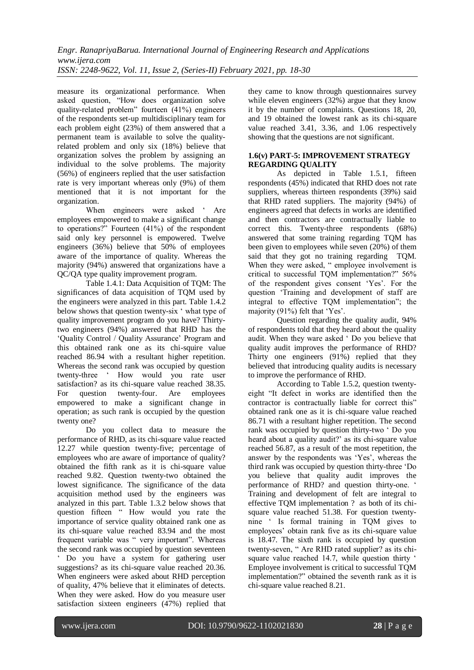measure its organizational performance. When asked question, "How does organization solve quality-related problem" fourteen (41%) engineers of the respondents set-up multidisciplinary team for each problem eight (23%) of them answered that a permanent team is available to solve the qualityrelated problem and only six (18%) believe that organization solves the problem by assigning an individual to the solve problems. The majority (56%) of engineers replied that the user satisfaction rate is very important whereas only (9%) of them mentioned that it is not important for the organization.

When engineers were asked ' Are employees empowered to make a significant change to operations?" Fourteen (41%) of the respondent said only key personnel is empowered. Twelve engineers (36%) believe that 50% of employees aware of the importance of quality. Whereas the majority (94%) answered that organizations have a QC/QA type quality improvement program.

Table 1.4.1: Data Acquisition of TQM: The significances of data acquisition of TQM used by the engineers were analyzed in this part. Table 1.4.2 below shows that question twenty-six ' what type of quality improvement program do you have? Thirtytwo engineers (94%) answered that RHD has the 'Quality Control / Quality Assurance' Program and this obtained rank one as its chi-squire value reached 86.94 with a resultant higher repetition. Whereas the second rank was occupied by question twenty-three ' How would you rate user satisfaction? as its chi-square value reached 38.35. For question twenty-four. Are employees empowered to make a significant change in operation; as such rank is occupied by the question twenty one?

Do you collect data to measure the performance of RHD, as its chi-square value reacted 12.27 while question twenty-five; percentage of employees who are aware of importance of quality? obtained the fifth rank as it is chi-square value reached 9.82. Question twenty-two obtained the lowest significance. The significance of the data acquisition method used by the engineers was analyzed in this part. Table 1.3.2 below shows that question fifteen " How would you rate the importance of service quality obtained rank one as its chi-square value reached 83.94 and the most frequent variable was " very important". Whereas the second rank was occupied by question seventeen ' Do you have a system for gathering user suggestions? as its chi-square value reached 20.36.

When engineers were asked about RHD perception of quality, 47% believe that it eliminates of detects. When they were asked. How do you measure user satisfaction sixteen engineers (47%) replied that they came to know through questionnaires survey while eleven engineers (32%) argue that they know it by the number of complaints. Questions 18, 20, and 19 obtained the lowest rank as its chi-square value reached 3.41, 3.36, and 1.06 respectively showing that the questions are not significant.

#### **1.6(v) PART-5: IMPROVEMENT STRATEGY REGARDING QUALITY**

As depicted in Table 1.5.1, fifteen respondents (45%) indicated that RHD does not rate suppliers, whereas thirteen respondents (39%) said that RHD rated suppliers. The majority (94%) of engineers agreed that defects in works are identified and then contractors are contractually liable to correct this. Twenty-three respondents (68%) answered that some training regarding TQM has been given to employees while seven (20%) of them said that they got no training regarding TQM. When they were asked, " employee involvement is critical to successful TQM implementation?" 56% of the respondent gives consent 'Yes'. For the question 'Training and development of staff are integral to effective TQM implementation"; the majority (91%) felt that 'Yes'.

Question regarding the quality audit, 94% of respondents told that they heard about the quality audit. When they ware asked ' Do you believe that quality audit improves the performance of RHD? Thirty one engineers (91%) replied that they believed that introducing quality audits is necessary to improve the performance of RHD.

According to Table 1.5.2, question twentyeight "It defect in works are identified then the contractor is contractually liable for correct this" obtained rank one as it is chi-square value reached 86.71 with a resultant higher repetition. The second rank was occupied by question thirty-two ' Do you heard about a quality audit?' as its chi-square value reached 56.87, as a result of the most repetition, the answer by the respondents was 'Yes', whereas the third rank was occupied by question thirty-three 'Do you believe that quality audit improves the performance of RHD? and question thirty-one. ' Training and development of felt are integral to effective TQM implementation ? as both of its chisquare value reached 51.38. For question twentynine ' Is formal training in TQM gives to employees' obtain rank five as its chi-square value is 18.47. The sixth rank is occupied by question twenty-seven, " Are RHD rated supplier? as its chisquare value reached 14.7, while question thirty ' Employee involvement is critical to successful TQM implementation?" obtained the seventh rank as it is chi-square value reached 8.21.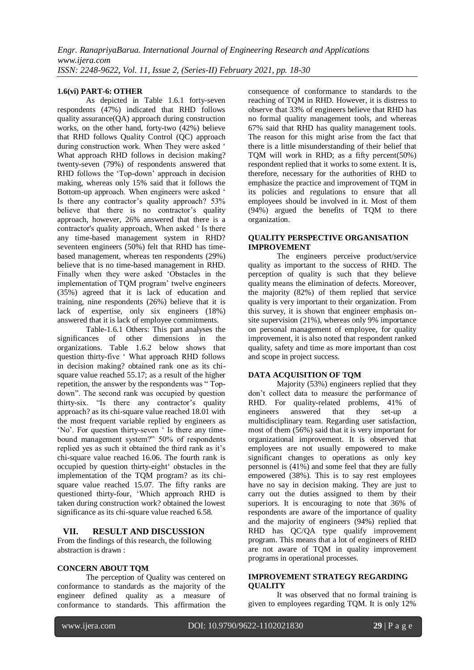#### **1.6(vi) PART-6: OTHER**

As depicted in Table 1.6.1 forty-seven respondents (47%) indicated that RHD follows quality assurance(QA) approach during construction works, on the other hand, forty-two (42%) believe that RHD follows Quality Control (QC) approach during construction work. When They were asked ' What approach RHD follows in decision making? twenty-seven (79%) of respondents answered that RHD follows the 'Top-down' approach in decision making, whereas only 15% said that it follows the Bottom-up approach. When engineers were asked ' Is there any contractor's quality approach? 53% believe that there is no contractor's quality approach, however, 26% answered that there is a contractor's quality approach, When asked ' Is there any time-based management system in RHD? seventeen engineers (50%) felt that RHD has timebased management, whereas ten respondents (29%) believe that is no time-based management in RHD. Finally when they were asked 'Obstacles in the implementation of TQM program' twelve engineers (35%) agreed that it is lack of education and training, nine respondents (26%) believe that it is lack of expertise, only six engineers (18%) answered that it is lack of employee commitments.

Table-1.6.1 Others: This part analyses the significances of other dimensions in the organizations. Table 1.6.2 below shows that question thirty-five ' What approach RHD follows in decision making? obtained rank one as its chisquare value reached 55.17; as a result of the higher repetition, the answer by the respondents was " Topdown". The second rank was occupied by question thirty-six. "Is there any contractor's quality approach? as its chi-square value reached 18.01 with the most frequent variable replied by engineers as 'No'. For question thirty-seven ' Is there any timebound management system?" 50% of respondents replied yes as such it obtained the third rank as it's chi-square value reached 16.06. The fourth rank is occupied by question thirty-eight' obstacles in the implementation of the TQM program? as its chisquare value reached 15.07. The fifty ranks are questioned thirty-four, 'Which approach RHD is taken during construction work? obtained the lowest significance as its chi-square value reached 6.58.

#### **VII. RESULT AND DISCUSSION**

From the findings of this research, the following abstraction is drawn :

#### **CONCERN ABOUT TQM**

The perception of Quality was centered on conformance to standards as the majority of the engineer defined quality as a measure of conformance to standards. This affirmation the consequence of conformance to standards to the reaching of TQM in RHD. However, it is distress to observe that 33% of engineers believe that RHD has no formal quality management tools, and whereas 67% said that RHD has quality management tools. The reason for this might arise from the fact that there is a little misunderstanding of their belief that TQM will work in RHD; as a fifty percent(50%) respondent replied that it works to some extent. It is, therefore, necessary for the authorities of RHD to emphasize the practice and improvement of TQM in its policies and regulations to ensure that all employees should be involved in it. Most of them (94%) argued the benefits of TQM to there organization.

#### **QUALITY PERSPECTIVE ORGANISATION IMPROVEMENT**

The engineers perceive product/service quality as important to the success of RHD. The perception of quality is such that they believe quality means the elimination of defects. Moreover, the majority (82%) of them replied that service quality is very important to their organization. From this survey, it is shown that engineer emphasis onsite supervision (21%), whereas only 9% importance on personal management of employee, for quality improvement, it is also noted that respondent ranked quality, safety and time as more important than cost and scope in project success.

#### **DATA ACQUISITION OF TQM**

Majority (53%) engineers replied that they don't collect data to measure the performance of RHD. For quality-related problems, 41% of engineers answered that they set-up a multidisciplinary team. Regarding user satisfaction, most of them (56%) said that it is very important for organizational improvement. It is observed that employees are not usually empowered to make significant changes to operations as only key personnel is (41%) and some feel that they are fully empowered (38%). This is to say rest employees have no say in decision making. They are just to carry out the duties assigned to them by their superiors. It is encouraging to note that 36% of respondents are aware of the importance of quality and the majority of engineers (94%) replied that RHD has QC/QA type qualify improvement program. This means that a lot of engineers of RHD are not aware of TQM in quality improvement programs in operational processes.

#### **IMPROVEMENT STRATEGY REGARDING QUALITY**

It was observed that no formal training is given to employees regarding TQM. It is only 12%